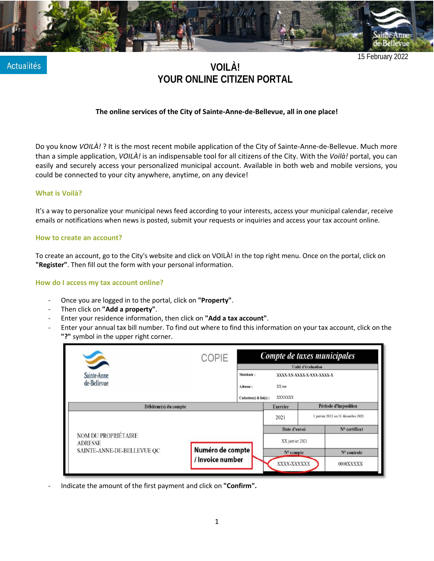

**Actualités** 

**VOILÀ! YOUR ONLINE CITIZEN PORTAL**

## **The online services of the City of Sainte-Anne-de-Bellevue, all in one place!**

Do you know *VOILÀ!* ? It is the most recent mobile application of the City of Sainte-Anne-de-Bellevue. Much more than a simple application, *VOILÀ!* is an indispensable tool for all citizens of the City. With the *Voilà!* portal, you can easily and securely access your personalized municipal account. Available in both web and mobile versions, you could be connected to your city anywhere, anytime, on any device!

### **What is Voilà?**

It's a way to personalize your municipal news feed according to your interests, access your municipal calendar, receive emails or notifications when news is posted, submit your requests or inquiries and access your tax account online.

#### **How to create an account?**

To create an account, go to the City's website and click on VOILÀ! in the top right menu. Once on the portal, click on **"Register"**. Then fill out the form with your personal information.

### **How do I access my tax account online?**

- Once you are logged in to the portal, click on **"Property"**.
- Then click on **"Add a property"**.
- Enter your residence information, then click on **"Add a tax account"**.
- Enter your annual tax bill number. To find out where to find this information on your tax account, click on the **"?"** symbol in the upper right corner.

|                                                                            | COPIE                                | Compte de taxes municipales                     |                                               |                           |                                    |  |
|----------------------------------------------------------------------------|--------------------------------------|-------------------------------------------------|-----------------------------------------------|---------------------------|------------------------------------|--|
| S                                                                          |                                      | Unité d'évaluation                              |                                               |                           |                                    |  |
| Sainte-Anne<br>de-Bellevue                                                 |                                      | Matricule:<br>Adresse:<br>Cadastre(s) & lot(s): | XX rue<br>XXXXXXX                             | XXXX-XX-XXXX-X-XXX-XXXX-X |                                    |  |
| Débiteur(s) du compte                                                      |                                      | Période d'imposition<br><b>Exercice</b>         |                                               |                           |                                    |  |
| <b>NOM DU PROPRIÉTAIRE</b><br><b>ADRESSE</b><br>SAINTE-ANNE-DE-BELLEVUE QC |                                      | 2021                                            |                                               |                           | 1 janvier 2021 au 31 décembre 2021 |  |
|                                                                            |                                      |                                                 | Date d'envoi                                  |                           | N <sup>o</sup> certificat          |  |
|                                                                            | Numéro de compte<br>/ Invoice number |                                                 | XX janvier 2021<br>$No$ compte<br>XXXX-XXXXXX |                           | N° controle<br>0000XXXXX           |  |

- Indicate the amount of the first payment and click on **"Confirm".**